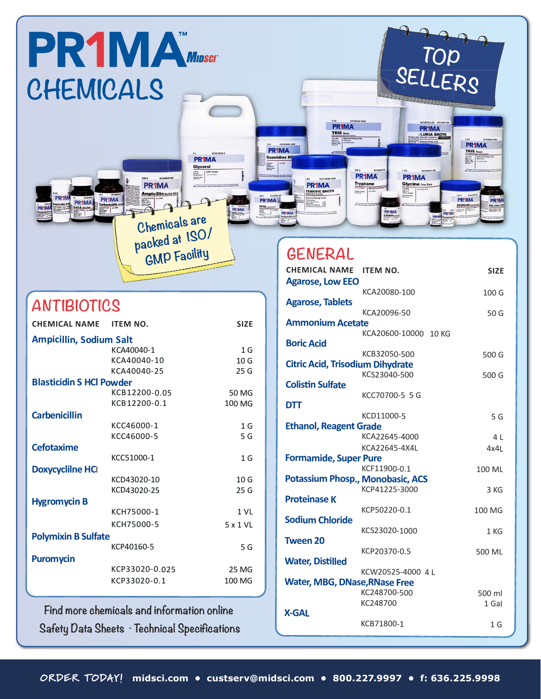

#### **ANTIBIOTICS**

| <b>CHEMICAL NAME</b>            | <b>ITEM NO.</b> | <b>SIZE</b>     |  |  |
|---------------------------------|-----------------|-----------------|--|--|
| <b>Ampicillin, Sodium Salt</b>  |                 |                 |  |  |
|                                 | KCA40040-1      | 1 <sub>G</sub>  |  |  |
|                                 | KCA40040-10     | 10 <sub>G</sub> |  |  |
|                                 | KCA40040-25     | 25G             |  |  |
| <b>Blasticidin S HCl Powder</b> |                 |                 |  |  |
|                                 | KCB12200-0.05   | 50 MG           |  |  |
|                                 | KCB12200-0.1    | 100 MG          |  |  |
| <b>Carbenicillin</b>            |                 |                 |  |  |
|                                 | KCC46000-1      | 1 <sub>G</sub>  |  |  |
|                                 | KCC46000-5      | 5 G             |  |  |
| <b>Cefotaxime</b>               |                 |                 |  |  |
|                                 | KCC51000-1      | 1 <sub>G</sub>  |  |  |
| <b>Doxycyclilne HCI</b>         |                 |                 |  |  |
|                                 | KCD43020-10     | 10G             |  |  |
|                                 | KCD43020-25     | 25 G            |  |  |
| <b>Hygromycin B</b>             |                 |                 |  |  |
|                                 | KCH75000-1      | 1 <sub>VI</sub> |  |  |
|                                 | KCH75000-5      | 5 x 1 VL        |  |  |
| <b>Polymixin B Sulfate</b>      |                 |                 |  |  |
|                                 | KCP40160-5      | 5 G             |  |  |
| <b>Puromycin</b>                |                 |                 |  |  |
|                                 | KCP33020-0.025  | 25 MG           |  |  |
|                                 | KCP33020-0.1    | 100 MG          |  |  |
|                                 |                 |                 |  |  |

 $\frac{1}{2}$  **Find more chemicals and information online**  ${\sf S}$ afety Data Sheets  $\cdot$  Technical Specifications

## **GENERAL**

|                     |                                             |                 | <b>CHEMICAL NAME ITEM NO.</b>                        | <b>SIZE</b>    |
|---------------------|---------------------------------------------|-----------------|------------------------------------------------------|----------------|
|                     |                                             |                 | <b>Agarose, Low EEO</b>                              |                |
|                     |                                             |                 | KCA20080-100<br><b>Agarose, Tablets</b>              | 100 G          |
| <b>TIBIOTICS</b>    |                                             |                 | KCA20096-50                                          | 50 G           |
| <b>ICAL NAME</b>    | <b>ITEM NO.</b>                             | <b>SIZE</b>     | <b>Ammonium Acetate</b>                              |                |
|                     |                                             |                 | KCA20600-10000 10 KG                                 |                |
| cillin, Sodium Salt |                                             |                 | <b>Boric Acid</b>                                    |                |
|                     | KCA40040-1                                  | 1 <sub>G</sub>  | KCB32050-500                                         | 500 G          |
|                     | KCA40040-10                                 | 10 G            | <b>Citric Acid, Trisodium Dihydrate</b>              |                |
|                     | KCA40040-25                                 | 25G             | KCS23040-500                                         | 500 G          |
| cidin S HCl Powder  |                                             |                 | <b>Colistin Sulfate</b>                              |                |
|                     | KCB12200-0.05                               | 50 MG           | KCC70700-5 5 G                                       |                |
|                     | KCB12200-0.1                                | 100 MG          | <b>DTT</b>                                           |                |
| nicillin            |                                             |                 | KCD11000-5                                           | 5 G            |
|                     | KCC46000-1                                  | 1 <sub>G</sub>  | <b>Ethanol, Reagent Grade</b>                        |                |
|                     | KCC46000-5                                  | 5 G             | KCA22645-4000                                        | 4 L            |
| axime               |                                             |                 | KCA22645-4X4L                                        | 4x4L           |
|                     | KCC51000-1                                  | 1 <sub>G</sub>  | <b>Formamide, Super Pure</b>                         |                |
| <b>yclilne HCI</b>  |                                             |                 | KCF11900-0.1                                         | 100 ML         |
|                     | KCD43020-10                                 | 10 <sub>G</sub> | <b>Potassium Phosp., Monobasic, ACS</b>              |                |
|                     | KCD43020-25                                 | 25 G            | KCP41225-3000                                        | 3 KG           |
| mycin B             |                                             |                 | <b>Proteinase K</b>                                  |                |
|                     | KCH75000-1                                  | 1 <sub>VL</sub> | KCP50220-0.1                                         | 100 MG         |
|                     | KCH75000-5                                  | 5 x 1 VL        | <b>Sodium Chloride</b>                               |                |
| ixin B Sulfate      |                                             |                 | KCS23020-1000                                        | 1 KG           |
|                     | KCP40160-5                                  | 5 G             | <b>Tween 20</b>                                      |                |
| <b>nycin</b>        |                                             |                 | KCP20370-0.5                                         | 500 ML         |
|                     | KCP33020-0.025                              | 25 MG           | <b>Water, Distilled</b>                              |                |
|                     | KCP33020-0.1                                | 100 MG          | KCW20525-4000 4 L                                    |                |
|                     |                                             |                 | <b>Water, MBG, DNase, RNase Free</b><br>KC248700-500 | 500 ml         |
|                     |                                             |                 | KC248700                                             | 1 Gal          |
|                     | d more chemicals and information online     |                 | <b>X-GAL</b>                                         |                |
|                     |                                             |                 | KCB71800-1                                           | 1 <sub>G</sub> |
|                     | ety Data Sheets  – Technical Specifications |                 |                                                      |                |
|                     |                                             |                 |                                                      |                |
|                     |                                             |                 |                                                      |                |
|                     |                                             |                 |                                                      |                |